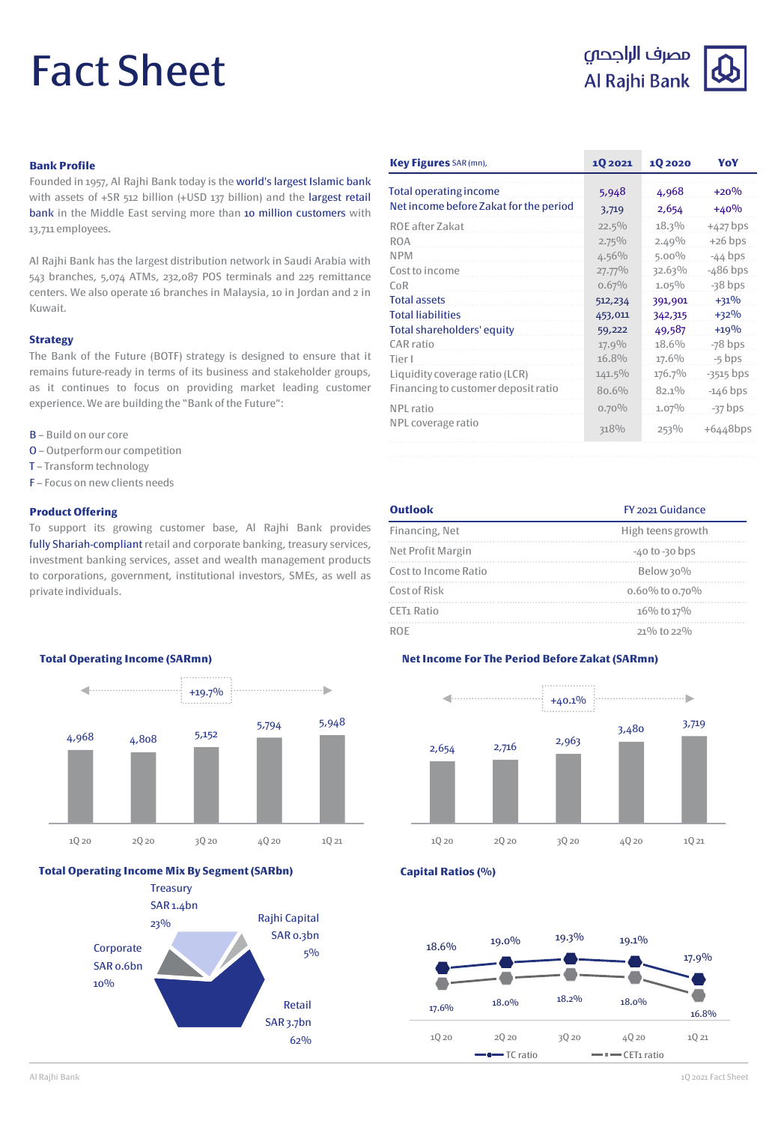# Fact Sheet



### **Bank Profile**

Founded in 1957, Al Rajhi Bank today is the world's largest Islamic bank with assets of +SR 512 billion (+USD 137 billion) and the largest retail bank in the Middle East serving more than 10 million customers with 13,711 employees.

Al Rajhi Bank has the largest distribution network in Saudi Arabia with 543 branches, 5,074 ATMs, 232,087 POS terminals and 225 remittance centers. We also operate 16 branches in Malaysia, 10 in Jordan and 2 in Kuwait.

### **Strategy**

The Bank of the Future (BOTF) strategy is designed to ensure that it remains future-ready in terms of its business and stakeholder groups, as it continues to focus on providing market leading customer experience.We are building the "Bank of the Future":

- B Build on our core
- O Outperformour competition
- T Transform technology
- F Focus on new clients needs

### **Product Offering**

To support its growing customer base, Al Rajhi Bank provides fully Shariah-compliant retail and corporate banking, treasury services, investment banking services, asset and wealth management products to corporations, government, institutional investors, SMEs, as well as private individuals.

| Key Figures SAR (mn),                  | 1Q 2021   | 1Q 2020  | YoY         |
|----------------------------------------|-----------|----------|-------------|
| <b>Total operating income</b>          | 5,948     | 4,968    | $+20%$      |
| Net income before Zakat for the period | 3,719     | 2,654    | $+40%$      |
| ROE after Zakat                        | $22.5\%$  | 18.3%    | $+427$ bps  |
| <b>ROA</b>                             | $2.75\%$  | 2.49%    | $+26$ bps   |
| <b>NPM</b>                             | 4.56%     | $5.00\%$ | $-44$ bps   |
| Cost to income                         | 27.77%    | 32.63%   | $-486$ bps  |
| CoR                                    | 0.67%     | $1.05\%$ | $-38$ bps   |
| <b>Total assets</b>                    | 512,234   | 391,901  | $+31%$      |
| <b>Total liabilities</b>               | 453,011   | 342,315  | $+32%$      |
| Total shareholders' equity             | 59,222    | 49,587   | $+19%$      |
| CAR ratio                              | 17.9%     | 18.6%    | $-78$ bps   |
| Tier I                                 | 16.8%     | 17.6%    | $-5$ bps    |
| Liquidity coverage ratio (LCR)         | $141.5\%$ | 176.7%   | $-3515$ bps |
| Financing to customer deposit ratio    | 80.6%     | $82.1\%$ | $-146$ bps  |
| NPL ratio                              | $0.70\%$  | $1.07\%$ | $-37$ bps   |
| NPL coverage ratio                     | 318%      | 253%     | $+6448$ bps |

| Outlook                | FY 2021 Guidance   |
|------------------------|--------------------|
| Financing, Net         | High teens growth  |
| Net Profit Margin      | $-40$ to $-30$ bps |
| Cost to Income Ratio   | Below 30%          |
| Cost of Risk           | 0.60% to 0.70%     |
| CET <sub>1</sub> Ratio | 16% to 17%         |
| ROF                    | $21\%$ to $22\%$   |

### **Net Income For The Period Before Zakat (SARmn)**



## **Capital Ratios (%)**



## **Total Operating Income (SARmn)**



### **Total Operating Income Mix By Segment (SARbn)**